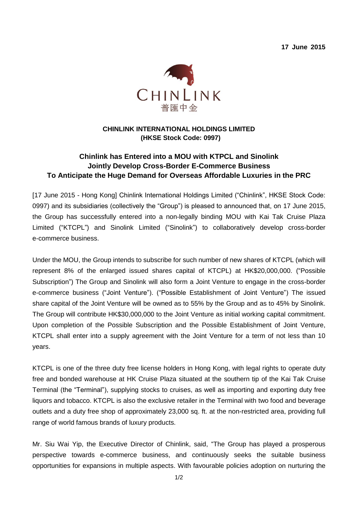**17 June 2015**



## **CHINLINK INTERNATIONAL HOLDINGS LIMITED (HKSE Stock Code: 0997)**

## **Chinlink has Entered into a MOU with KTPCL and Sinolink Jointly Develop Cross-Border E-Commerce Business To Anticipate the Huge Demand for Overseas Affordable Luxuries in the PRC**

[17 June 2015 - Hong Kong] Chinlink International Holdings Limited ("Chinlink", HKSE Stock Code: 0997) and its subsidiaries (collectively the "Group") is pleased to announced that, on 17 June 2015, the Group has successfully entered into a non-legally binding MOU with Kai Tak Cruise Plaza Limited ("KTCPL") and Sinolink Limited ("Sinolink") to collaboratively develop cross-border e-commerce business.

Under the MOU, the Group intends to subscribe for such number of new shares of KTCPL (which will represent 8% of the enlarged issued shares capital of KTCPL) at HK\$20,000,000. ("Possible Subscription") The Group and Sinolink will also form a Joint Venture to engage in the cross-border e-commerce business ("Joint Venture"). ("Possible Establishment of Joint Venture") The issued share capital of the Joint Venture will be owned as to 55% by the Group and as to 45% by Sinolink. The Group will contribute HK\$30,000,000 to the Joint Venture as initial working capital commitment. Upon completion of the Possible Subscription and the Possible Establishment of Joint Venture, KTCPL shall enter into a supply agreement with the Joint Venture for a term of not less than 10 years.

KTCPL is one of the three duty free license holders in Hong Kong, with legal rights to operate duty free and bonded warehouse at HK Cruise Plaza situated at the southern tip of the Kai Tak Cruise Terminal (the "Terminal"), supplying stocks to cruises, as well as importing and exporting duty free liquors and tobacco. KTCPL is also the exclusive retailer in the Terminal with two food and beverage outlets and a duty free shop of approximately 23,000 sq. ft. at the non-restricted area, providing full range of world famous brands of luxury products.

Mr. Siu Wai Yip, the Executive Director of Chinlink, said, "The Group has played a prosperous perspective towards e-commerce business, and continuously seeks the suitable business opportunities for expansions in multiple aspects. With favourable policies adoption on nurturing the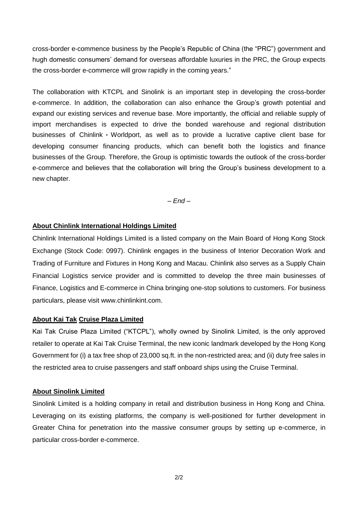cross-border e-commence business by the People's Republic of China (the "PRC") government and hugh domestic consumers' demand for overseas affordable luxuries in the PRC, the Group expects the cross-border e-commerce will grow rapidly in the coming years."

The collaboration with KTCPL and Sinolink is an important step in developing the cross-border e-commerce. In addition, the collaboration can also enhance the Group's growth potential and expand our existing services and revenue base. More importantly, the official and reliable supply of import merchandises is expected to drive the bonded warehouse and regional distribution businesses of Chinlink・Worldport, as well as to provide a lucrative captive client base for developing consumer financing products, which can benefit both the logistics and finance businesses of the Group. Therefore, the Group is optimistic towards the outlook of the cross-border e-commerce and believes that the collaboration will bring the Group's business development to a new chapter.

*– End –*

#### **About Chinlink International Holdings Limited**

Chinlink International Holdings Limited is a listed company on the Main Board of Hong Kong Stock Exchange (Stock Code: 0997). Chinlink engages in the business of Interior Decoration Work and Trading of Furniture and Fixtures in Hong Kong and Macau. Chinlink also serves as a Supply Chain Financial Logistics service provider and is committed to develop the three main businesses of Finance, Logistics and E-commerce in China bringing one-stop solutions to customers. For business particulars, please visit www.chinlinkint.com.

#### **About Kai Tak Cruise Plaza Limited**

Kai Tak Cruise Plaza Limited ("KTCPL"), wholly owned by Sinolink Limited, is the only approved retailer to operate at Kai Tak Cruise Terminal, the new iconic landmark developed by the Hong Kong Government for (i) a tax free shop of 23,000 sq.ft. in the non-restricted area; and (ii) duty free sales in the restricted area to cruise passengers and staff onboard ships using the Cruise Terminal.

#### **About Sinolink Limited**

Sinolink Limited is a holding company in retail and distribution business in Hong Kong and China. Leveraging on its existing platforms, the company is well-positioned for further development in Greater China for penetration into the massive consumer groups by setting up e-commerce, in particular cross-border e-commerce.